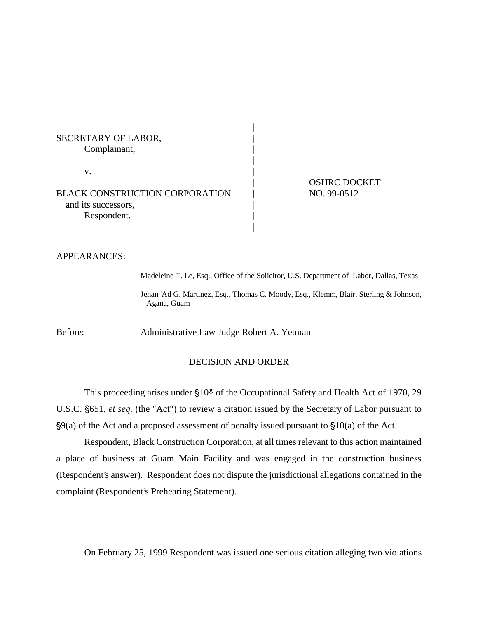SECRETARY OF LABOR, Complainant, |  $\mathbf v$ . BLACK CONSTRUCTION CORPORATION | NO. 99-0512 and its successors, Respondent.

| OSHRC DOCKET

APPEARANCES:

Madeleine T. Le, Esq., Office of the Solicitor, U.S. Department of Labor, Dallas, Texas Jehan 'Ad G. Martinez, Esq., Thomas C. Moody, Esq., Klemm, Blair, Sterling & Johnson, Agana, Guam

|

|

|

Before: Administrative Law Judge Robert A. Yetman

### DECISION AND ORDER

This proceeding arises under §10<sup>®</sup> of the Occupational Safety and Health Act of 1970, 29 U.S.C. 651, *et seq.* (the "Act") to review a citation issued by the Secretary of Labor pursuant to  $\S9(a)$  of the Act and a proposed assessment of penalty issued pursuant to  $\S10(a)$  of the Act.

Respondent, Black Construction Corporation, at all times relevant to this action maintained a place of business at Guam Main Facility and was engaged in the construction business (Respondent's answer). Respondent does not dispute the jurisdictional allegations contained in the complaint (Respondent's Prehearing Statement).

On February 25, 1999 Respondent was issued one serious citation alleging two violations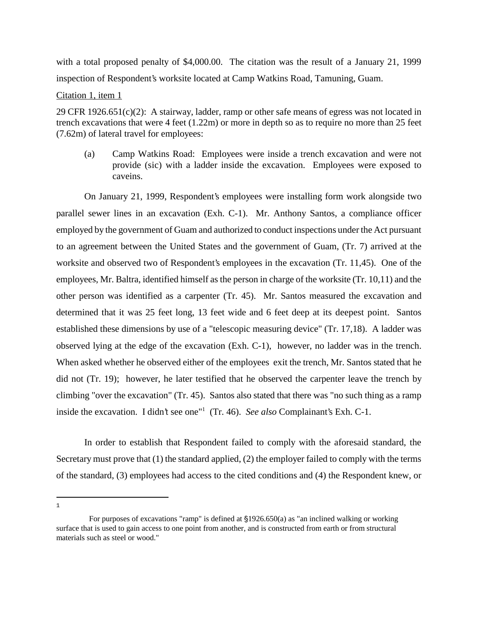with a total proposed penalty of \$4,000.00. The citation was the result of a January 21, 1999 inspection of Respondent's worksite located at Camp Watkins Road, Tamuning, Guam.

## Citation 1, item 1

29 CFR 1926.651(c)(2): A stairway, ladder, ramp or other safe means of egress was not located in trench excavations that were 4 feet (1.22m) or more in depth so as to require no more than 25 feet (7.62m) of lateral travel for employees:

(a) Camp Watkins Road: Employees were inside a trench excavation and were not provide (sic) with a ladder inside the excavation. Employees were exposed to caveins.

On January 21, 1999, Respondent's employees were installing form work alongside two parallel sewer lines in an excavation (Exh. C-1). Mr. Anthony Santos, a compliance officer employed by the government of Guam and authorized to conduct inspections under the Act pursuant to an agreement between the United States and the government of Guam, (Tr. 7) arrived at the worksite and observed two of Respondent's employees in the excavation (Tr. 11,45). One of the employees, Mr. Baltra, identified himself as the person in charge of the worksite (Tr. 10,11) and the other person was identified as a carpenter (Tr. 45). Mr. Santos measured the excavation and determined that it was 25 feet long, 13 feet wide and 6 feet deep at its deepest point. Santos established these dimensions by use of a "telescopic measuring device" (Tr. 17,18). A ladder was observed lying at the edge of the excavation (Exh. C-1), however, no ladder was in the trench. When asked whether he observed either of the employees exit the trench, Mr. Santos stated that he did not (Tr. 19); however, he later testified that he observed the carpenter leave the trench by climbing "over the excavation" (Tr. 45). Santos also stated that there was "no such thing as a ramp inside the excavation. I didn't see one<sup>"1</sup> (Tr. 46). *See also* Complainant's Exh. C-1.

In order to establish that Respondent failed to comply with the aforesaid standard, the Secretary must prove that (1) the standard applied, (2) the employer failed to comply with the terms of the standard, (3) employees had access to the cited conditions and (4) the Respondent knew, or

1

For purposes of excavations "ramp" is defined at 1926.650(a) as "an inclined walking or working surface that is used to gain access to one point from another, and is constructed from earth or from structural materials such as steel or wood."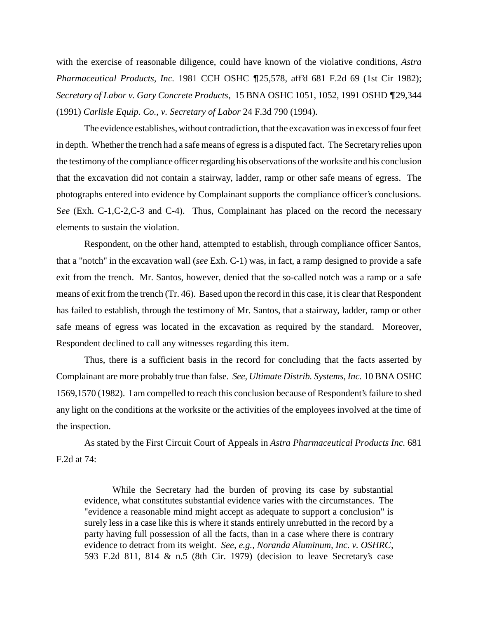with the exercise of reasonable diligence, could have known of the violative conditions, *Astra Pharmaceutical Products, Inc.* 1981 CCH OSHC  $\P$ 25,578, aff'd 681 F.2d 69 (1st Cir 1982); *Secretary of Labor v. Gary Concrete Products*, 15 BNA OSHC 1051, 1052, 1991 OSHD **T**29,344 (1991) *Carlisle Equip. Co., v. Secretary of Labor* 24 F.3d 790 (1994).

The evidence establishes, without contradiction, that the excavation was in excess of four feet in depth. Whether the trench had a safe means of egress is a disputed fact. The Secretary relies upon the testimony of the compliance officer regarding his observations of the worksite and his conclusion that the excavation did not contain a stairway, ladder, ramp or other safe means of egress. The photographs entered into evidence by Complainant supports the compliance officer's conclusions. S*ee* (Exh. C-1,C-2,C-3 and C-4). Thus, Complainant has placed on the record the necessary elements to sustain the violation.

Respondent, on the other hand, attempted to establish, through compliance officer Santos, that a "notch" in the excavation wall (*see* Exh. C-1) was, in fact, a ramp designed to provide a safe exit from the trench. Mr. Santos, however, denied that the so-called notch was a ramp or a safe means of exit from the trench (Tr. 46). Based upon the record in this case, it is clear that Respondent has failed to establish, through the testimony of Mr. Santos, that a stairway, ladder, ramp or other safe means of egress was located in the excavation as required by the standard. Moreover, Respondent declined to call any witnesses regarding this item.

Thus, there is a sufficient basis in the record for concluding that the facts asserted by Complainant are more probably true than false. *See, Ultimate Distrib. Systems, Inc.* 10 BNA OSHC 1569,1570 (1982). I am compelled to reach this conclusion because of Respondent's failure to shed any light on the conditions at the worksite or the activities of the employees involved at the time of the inspection.

As stated by the First Circuit Court of Appeals in *Astra Pharmaceutical Products Inc.* 681 F.2d at 74:

While the Secretary had the burden of proving its case by substantial evidence, what constitutes substantial evidence varies with the circumstances. The "evidence a reasonable mind might accept as adequate to support a conclusion" is surely less in a case like this is where it stands entirely unrebutted in the record by a party having full possession of all the facts, than in a case where there is contrary evidence to detract from its weight. *See, e.g., Noranda Aluminum, Inc. v. OSHRC*, 593 F.2d 811, 814 & n.5 (8th Cir. 1979) (decision to leave Secretary's case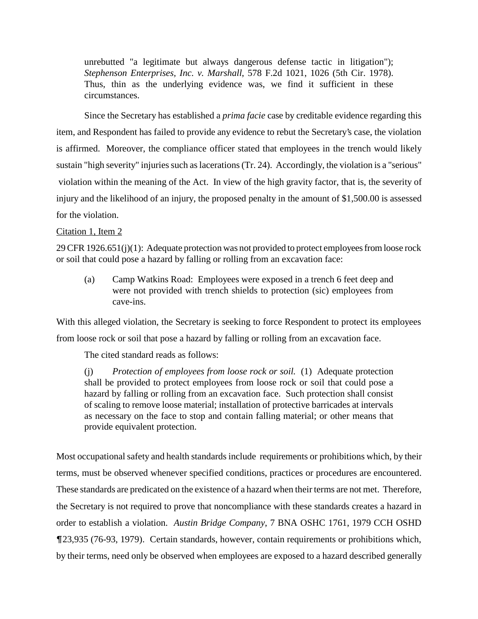unrebutted "a legitimate but always dangerous defense tactic in litigation"); *Stephenson Enterprises, Inc. v. Marshall*, 578 F.2d 1021, 1026 (5th Cir. 1978). Thus, thin as the underlying evidence was, we find it sufficient in these circumstances.

Since the Secretary has established a *prima facie* case by creditable evidence regarding this item, and Respondent has failed to provide any evidence to rebut the Secretary's case, the violation is affirmed. Moreover, the compliance officer stated that employees in the trench would likely sustain "high severity" injuries such as lacerations (Tr. 24). Accordingly, the violation is a "serious" violation within the meaning of the Act. In view of the high gravity factor, that is, the severity of injury and the likelihood of an injury, the proposed penalty in the amount of \$1,500.00 is assessed for the violation.

# Citation 1, Item 2

29 CFR 1926.651(j)(1): Adequate protection was not provided to protect employees from loose rock or soil that could pose a hazard by falling or rolling from an excavation face:

(a) Camp Watkins Road: Employees were exposed in a trench 6 feet deep and were not provided with trench shields to protection (sic) employees from cave-ins.

With this alleged violation, the Secretary is seeking to force Respondent to protect its employees from loose rock or soil that pose a hazard by falling or rolling from an excavation face.

The cited standard reads as follows:

(j) *Protection of employees from loose rock or soil.* (1) Adequate protection shall be provided to protect employees from loose rock or soil that could pose a hazard by falling or rolling from an excavation face. Such protection shall consist of scaling to remove loose material; installation of protective barricades at intervals as necessary on the face to stop and contain falling material; or other means that provide equivalent protection.

Most occupational safety and health standards include requirements or prohibitions which, by their terms, must be observed whenever specified conditions, practices or procedures are encountered. These standards are predicated on the existence of a hazard when their terms are not met. Therefore, the Secretary is not required to prove that noncompliance with these standards creates a hazard in order to establish a violation. *Austin Bridge Company*, 7 BNA OSHC 1761, 1979 CCH OSHD 23,935 (76-93, 1979). Certain standards, however, contain requirements or prohibitions which, by their terms, need only be observed when employees are exposed to a hazard described generally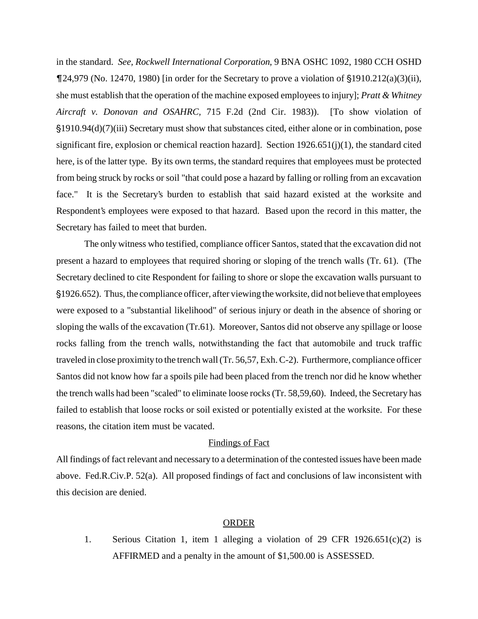in the standard. *See, Rockwell International Corporation*, 9 BNA OSHC 1092, 1980 CCH OSHD  $\P$ 24,979 (No. 12470, 1980) [in order for the Secretary to prove a violation of  $\S$ 1910.212(a)(3)(ii), she must establish that the operation of the machine exposed employees to injury]; *Pratt & Whitney Aircraft v. Donovan and OSAHRC,* 715 F.2d (2nd Cir. 1983)). [To show violation of 1910.94(d)(7)(iii) Secretary must show that substances cited, either alone or in combination, pose significant fire, explosion or chemical reaction hazard]. Section  $1926.651(j)(1)$ , the standard cited here, is of the latter type. By its own terms, the standard requires that employees must be protected from being struck by rocks or soil "that could pose a hazard by falling or rolling from an excavation face." It is the Secretary's burden to establish that said hazard existed at the worksite and Respondent's employees were exposed to that hazard. Based upon the record in this matter, the Secretary has failed to meet that burden.

The only witness who testified, compliance officer Santos, stated that the excavation did not present a hazard to employees that required shoring or sloping of the trench walls (Tr. 61). (The Secretary declined to cite Respondent for failing to shore or slope the excavation walls pursuant to 1926.652). Thus, the compliance officer, after viewing the worksite, did not believe that employees were exposed to a "substantial likelihood" of serious injury or death in the absence of shoring or sloping the walls of the excavation (Tr.61). Moreover, Santos did not observe any spillage or loose rocks falling from the trench walls, notwithstanding the fact that automobile and truck traffic traveled in close proximity to the trench wall (Tr. 56,57, Exh. C-2). Furthermore, compliance officer Santos did not know how far a spoils pile had been placed from the trench nor did he know whether the trench walls had been "scaled" to eliminate loose rocks (Tr. 58,59,60). Indeed, the Secretary has failed to establish that loose rocks or soil existed or potentially existed at the worksite. For these reasons, the citation item must be vacated.

## Findings of Fact

All findings of fact relevant and necessary to a determination of the contested issues have been made above. Fed.R.Civ.P. 52(a). All proposed findings of fact and conclusions of law inconsistent with this decision are denied.

### ORDER

1. Serious Citation 1, item 1 alleging a violation of 29 CFR  $1926.651(c)(2)$  is AFFIRMED and a penalty in the amount of \$1,500.00 is ASSESSED.